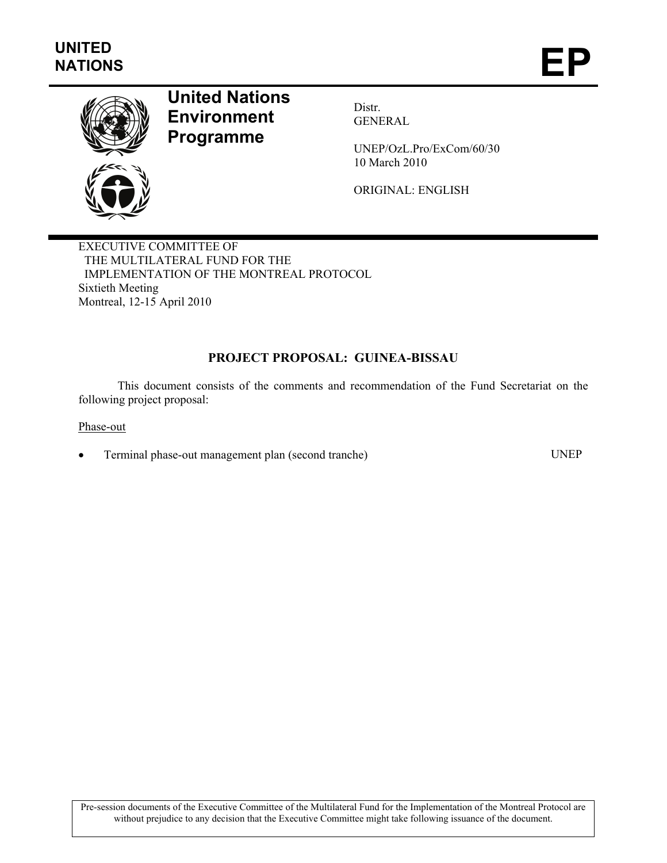

# **United Nations Environment Programme**

Distr. GENERAL

UNEP/OzL.Pro/ExCom/60/30 10 March 2010

ORIGINAL: ENGLISH

EXECUTIVE COMMITTEE OF THE MULTILATERAL FUND FOR THE IMPLEMENTATION OF THE MONTREAL PROTOCOL Sixtieth Meeting Montreal, 12-15 April 2010

## **PROJECT PROPOSAL: GUINEA-BISSAU**

This document consists of the comments and recommendation of the Fund Secretariat on the following project proposal:

Phase-out

• Terminal phase-out management plan (second tranche) UNEP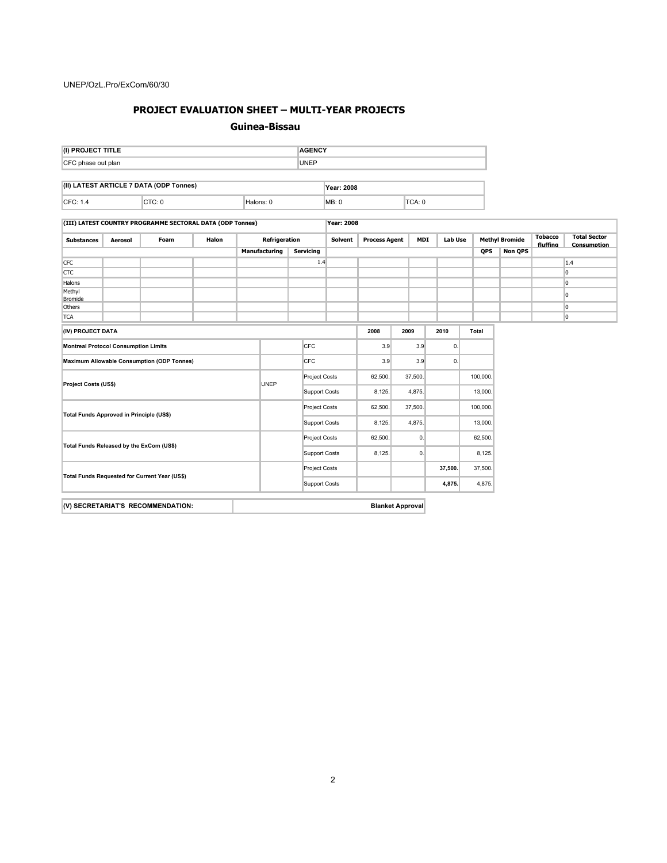## **PROJECT EVALUATION SHEET – MULTI-YEAR PROJECTS**

#### **Guinea-Bissau**

| (I) PROJECT TITLE                       |        |  |           |  | <b>AGENCY</b>     |  |        |  |  |  |
|-----------------------------------------|--------|--|-----------|--|-------------------|--|--------|--|--|--|
| CFC phase out plan                      |        |  |           |  | <b>UNEP</b>       |  |        |  |  |  |
|                                         |        |  |           |  |                   |  |        |  |  |  |
| (II) LATEST ARTICLE 7 DATA (ODP Tonnes) |        |  |           |  | <b>Year: 2008</b> |  |        |  |  |  |
| CFC: 1.4                                | CTC: 0 |  | Halons: 0 |  | <b>MB: 0</b>      |  | TCA: 0 |  |  |  |

| (III) LATEST COUNTRY PROGRAMME SECTORAL DATA (ODP Tonnes) |         |                                                   | Year: 2008           |                      |                      |                  |                                        |                |         |                       |    |                            |                                    |  |                |
|-----------------------------------------------------------|---------|---------------------------------------------------|----------------------|----------------------|----------------------|------------------|----------------------------------------|----------------|---------|-----------------------|----|----------------------------|------------------------------------|--|----------------|
| <b>Substances</b>                                         | Aerosol | Foam                                              | Halon                |                      | <b>Refrigeration</b> |                  | <b>Process Agent</b><br>MDI<br>Solvent |                | Lab Use | <b>Methyl Bromide</b> |    | <b>Tobacco</b><br>fluffing | <b>Total Sector</b><br>Consumption |  |                |
|                                                           |         |                                                   |                      |                      | Manufacturing        | <b>Servicing</b> |                                        |                |         |                       |    | <b>QPS</b>                 | <b>Non QPS</b>                     |  |                |
| <b>CFC</b>                                                |         |                                                   |                      |                      |                      | 1.4              |                                        |                |         |                       |    |                            |                                    |  | 1.4            |
| <b>CTC</b>                                                |         |                                                   |                      |                      |                      |                  |                                        |                |         |                       |    |                            |                                    |  | lo             |
| Halons                                                    |         |                                                   |                      |                      |                      |                  |                                        |                |         |                       |    |                            |                                    |  | 10             |
| Methyl<br>Bromide                                         |         |                                                   |                      |                      |                      |                  |                                        |                |         |                       |    |                            |                                    |  | 10             |
| <b>Others</b>                                             |         |                                                   |                      |                      |                      |                  |                                        |                |         |                       |    |                            |                                    |  | 10             |
| <b>TCA</b>                                                |         |                                                   |                      |                      |                      |                  |                                        |                |         |                       |    |                            |                                    |  | $\overline{0}$ |
| (IV) PROJECT DATA                                         |         |                                                   |                      |                      |                      | 2008             | 2009                                   |                | 2010    | <b>Total</b>          |    |                            |                                    |  |                |
| <b>Montreal Protocol Consumption Limits</b>               |         |                                                   |                      | <b>CFC</b>           |                      |                  | 3.9                                    | 3.9            |         | 0.                    |    |                            |                                    |  |                |
|                                                           |         | <b>Maximum Allowable Consumption (ODP Tonnes)</b> |                      |                      |                      | <b>CFC</b>       |                                        | 3.9            | 3.9     |                       | 0. |                            |                                    |  |                |
| Project Costs (US\$)                                      |         |                                                   | UNEP                 | <b>Project Costs</b> |                      | 62,500.          |                                        | 37,500.        |         | 100,000.              |    |                            |                                    |  |                |
|                                                           |         |                                                   |                      | <b>Support Costs</b> |                      | 8,125.           |                                        | 4,875.         |         | 13,000.               |    |                            |                                    |  |                |
| Total Funds Approved in Principle (US\$)                  |         |                                                   |                      | <b>Project Costs</b> |                      | 62,500.          |                                        | 37,500.        |         | 100,000.              |    |                            |                                    |  |                |
|                                                           |         |                                                   |                      |                      | <b>Support Costs</b> | 8,125.           |                                        | 4,875.         |         | 13,000.               |    |                            |                                    |  |                |
| Total Funds Released by the ExCom (US\$)                  |         |                                                   |                      | <b>Project Costs</b> |                      | 62,500.          |                                        | $\mathbf{0}$ . |         | 62,500.               |    |                            |                                    |  |                |
|                                                           |         |                                                   |                      | <b>Support Costs</b> |                      | 8,125.           |                                        | 0.             |         | 8,125.                |    |                            |                                    |  |                |
| Total Funds Requested for Current Year (US\$)             |         |                                                   |                      | <b>Project Costs</b> |                      |                  |                                        |                | 37,500. | 37,500.               |    |                            |                                    |  |                |
|                                                           |         |                                                   | <b>Support Costs</b> |                      |                      |                  |                                        | 4,875.         | 4,875.  |                       |    |                            |                                    |  |                |

| (V) SECRETARIAT'S RECOMMENDATION: | <b>Blanket Approval</b> |
|-----------------------------------|-------------------------|
|-----------------------------------|-------------------------|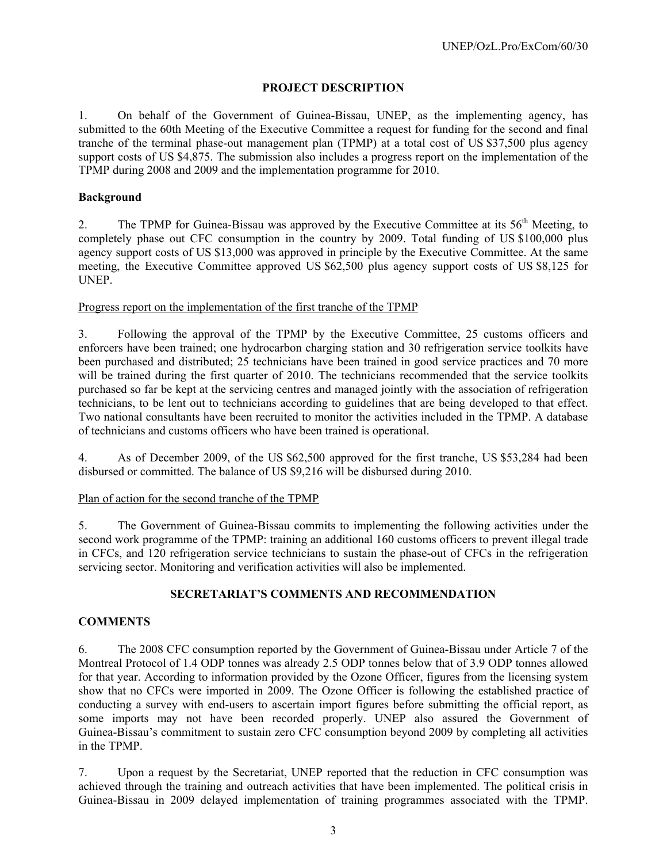### **PROJECT DESCRIPTION**

1. On behalf of the Government of Guinea-Bissau, UNEP, as the implementing agency, has submitted to the 60th Meeting of the Executive Committee a request for funding for the second and final tranche of the terminal phase-out management plan (TPMP) at a total cost of US \$37,500 plus agency support costs of US \$4,875. The submission also includes a progress report on the implementation of the TPMP during 2008 and 2009 and the implementation programme for 2010.

#### **Background**

2. The TPMP for Guinea-Bissau was approved by the Executive Committee at its 56<sup>th</sup> Meeting, to completely phase out CFC consumption in the country by 2009. Total funding of US \$100,000 plus agency support costs of US \$13,000 was approved in principle by the Executive Committee. At the same meeting, the Executive Committee approved US \$62,500 plus agency support costs of US \$8,125 for UNEP.

#### Progress report on the implementation of the first tranche of the TPMP

3. Following the approval of the TPMP by the Executive Committee, 25 customs officers and enforcers have been trained; one hydrocarbon charging station and 30 refrigeration service toolkits have been purchased and distributed; 25 technicians have been trained in good service practices and 70 more will be trained during the first quarter of 2010. The technicians recommended that the service toolkits purchased so far be kept at the servicing centres and managed jointly with the association of refrigeration technicians, to be lent out to technicians according to guidelines that are being developed to that effect. Two national consultants have been recruited to monitor the activities included in the TPMP. A database of technicians and customs officers who have been trained is operational.

4. As of December 2009, of the US \$62,500 approved for the first tranche, US \$53,284 had been disbursed or committed. The balance of US \$9,216 will be disbursed during 2010.

#### Plan of action for the second tranche of the TPMP

5. The Government of Guinea-Bissau commits to implementing the following activities under the second work programme of the TPMP: training an additional 160 customs officers to prevent illegal trade in CFCs, and 120 refrigeration service technicians to sustain the phase-out of CFCs in the refrigeration servicing sector. Monitoring and verification activities will also be implemented.

#### **SECRETARIAT'S COMMENTS AND RECOMMENDATION**

#### **COMMENTS**

6. The 2008 CFC consumption reported by the Government of Guinea-Bissau under Article 7 of the Montreal Protocol of 1.4 ODP tonnes was already 2.5 ODP tonnes below that of 3.9 ODP tonnes allowed for that year. According to information provided by the Ozone Officer, figures from the licensing system show that no CFCs were imported in 2009. The Ozone Officer is following the established practice of conducting a survey with end-users to ascertain import figures before submitting the official report, as some imports may not have been recorded properly. UNEP also assured the Government of Guinea-Bissau's commitment to sustain zero CFC consumption beyond 2009 by completing all activities in the TPMP.

7. Upon a request by the Secretariat, UNEP reported that the reduction in CFC consumption was achieved through the training and outreach activities that have been implemented. The political crisis in Guinea-Bissau in 2009 delayed implementation of training programmes associated with the TPMP.